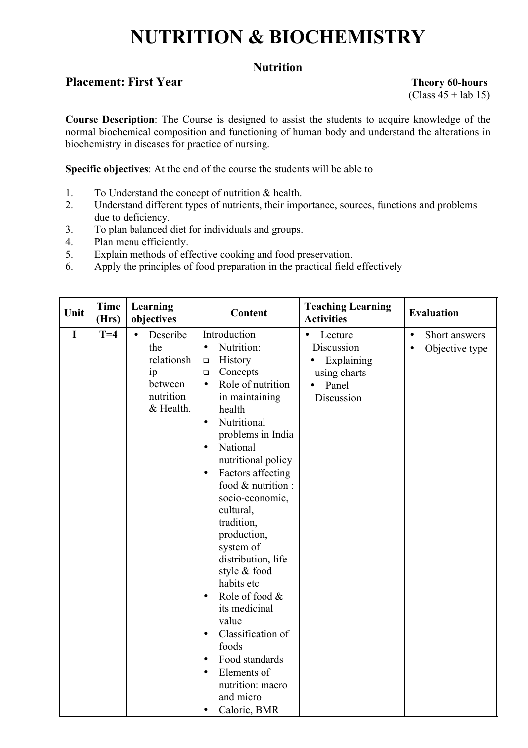# **NUTRITION & BIOCHEMISTRY**

# **Nutrition**

# **Placement: First Year Theory 60-hours**

 $(Class 45 + lab 15)$ 

**Course Description**: The Course is designed to assist the students to acquire knowledge of the normal biochemical composition and functioning of human body and understand the alterations in biochemistry in diseases for practice of nursing.

**Specific objectives**: At the end of the course the students will be able to

- 1. To Understand the concept of nutrition & health.
- 2. Understand different types of nutrients, their importance, sources, functions and problems due to deficiency.
- 3. To plan balanced diet for individuals and groups.
- 4. Plan menu efficiently.
- 5. Explain methods of effective cooking and food preservation.
- 6. Apply the principles of food preparation in the practical field effectively

| Unit        | <b>Time</b><br>(Hrs) | Learning<br>objectives                                                                | Content                                                                                                                                                                                                                                                                                                                                                                                                                                                                                                                                                                                                                                                | <b>Teaching Learning</b><br><b>Activities</b>                                                        | <b>Evaluation</b>                                         |
|-------------|----------------------|---------------------------------------------------------------------------------------|--------------------------------------------------------------------------------------------------------------------------------------------------------------------------------------------------------------------------------------------------------------------------------------------------------------------------------------------------------------------------------------------------------------------------------------------------------------------------------------------------------------------------------------------------------------------------------------------------------------------------------------------------------|------------------------------------------------------------------------------------------------------|-----------------------------------------------------------|
| $\mathbf I$ | $T=4$                | Describe<br>$\bullet$<br>the<br>relationsh<br>ip<br>between<br>nutrition<br>& Health. | Introduction<br>Nutrition:<br>$\bullet$<br>History<br>$\Box$<br>Concepts<br>$\Box$<br>Role of nutrition<br>$\bullet$<br>in maintaining<br>health<br>Nutritional<br>$\bullet$<br>problems in India<br>National<br>$\bullet$<br>nutritional policy<br>Factors affecting<br>$\bullet$<br>food & nutrition :<br>socio-economic,<br>cultural,<br>tradition,<br>production,<br>system of<br>distribution, life<br>style & food<br>habits etc<br>Role of food &<br>$\bullet$<br>its medicinal<br>value<br>Classification of<br>$\bullet$<br>foods<br>Food standards<br>$\bullet$<br>Elements of<br>nutrition: macro<br>and micro<br>Calorie, BMR<br>$\bullet$ | Lecture<br>$\bullet$<br>Discussion<br>Explaining<br>using charts<br>Panel<br>$\bullet$<br>Discussion | Short answers<br>$\bullet$<br>Objective type<br>$\bullet$ |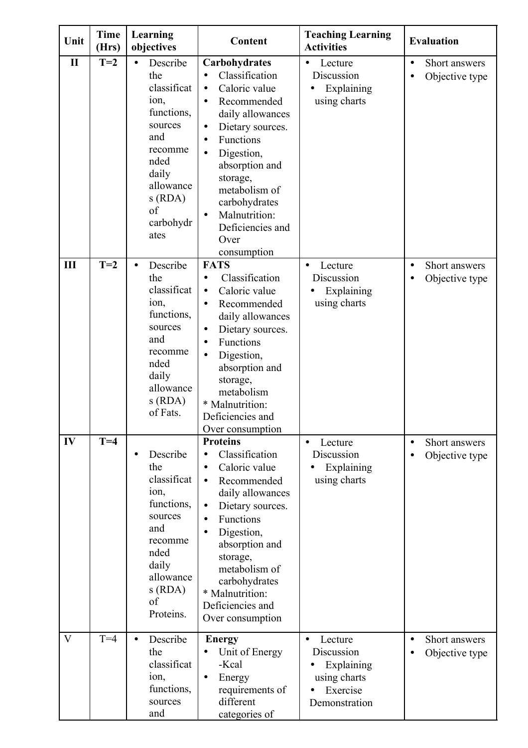| Unit         | <b>Time</b><br>(Hrs) | Learning<br>objectives                                                                                                                                    | Content                                                                                                                                                                                                                                                                                                                                                   | <b>Teaching Learning</b><br><b>Activities</b>                                                 | <b>Evaluation</b>                                         |
|--------------|----------------------|-----------------------------------------------------------------------------------------------------------------------------------------------------------|-----------------------------------------------------------------------------------------------------------------------------------------------------------------------------------------------------------------------------------------------------------------------------------------------------------------------------------------------------------|-----------------------------------------------------------------------------------------------|-----------------------------------------------------------|
| $\mathbf{I}$ | $T=2$                | Describe<br>the<br>classificat<br>ion,<br>functions,<br>sources<br>and<br>recomme<br>nded<br>daily<br>allowance<br>s(RDA)<br>of<br>carbohydr<br>ates      | Carbohydrates<br>Classification<br>$\bullet$<br>Caloric value<br>$\bullet$<br>Recommended<br>$\bullet$<br>daily allowances<br>Dietary sources.<br>$\bullet$<br>Functions<br>$\bullet$<br>Digestion,<br>$\bullet$<br>absorption and<br>storage,<br>metabolism of<br>carbohydrates<br>Malnutrition:<br>$\bullet$<br>Deficiencies and<br>Over<br>consumption | Lecture<br>$\bullet$<br>Discussion<br>Explaining<br>using charts                              | Short answers<br>$\bullet$<br>Objective type              |
| Ш            | $T=2$                | Describe<br>$\bullet$<br>the<br>classificat<br>ion,<br>functions,<br>sources<br>and<br>recomme<br>nded<br>daily<br>allowance<br>s(RDA)<br>of Fats.        | <b>FATS</b><br>Classification<br>$\bullet$<br>Caloric value<br>$\bullet$<br>Recommended<br>$\bullet$<br>daily allowances<br>Dietary sources.<br>$\bullet$<br>Functions<br>$\bullet$<br>Digestion,<br>$\bullet$<br>absorption and<br>storage,<br>metabolism<br>* Malnutrition:<br>Deficiencies and<br>Over consumption                                     | Lecture<br>$\bullet$<br>Discussion<br>Explaining<br>using charts                              | Short answers<br>$\bullet$<br>Objective type              |
| IV           | $T=4$                | Describe<br>$\bullet$<br>the<br>classificat<br>ion,<br>functions,<br>sources<br>and<br>recomme<br>nded<br>daily<br>allowance<br>s(RDA)<br>of<br>Proteins. | <b>Proteins</b><br>Classification<br>$\bullet$<br>Caloric value<br>$\bullet$<br>Recommended<br>$\bullet$<br>daily allowances<br>Dietary sources.<br>$\bullet$<br>Functions<br>$\bullet$<br>Digestion,<br>$\bullet$<br>absorption and<br>storage,<br>metabolism of<br>carbohydrates<br>* Malnutrition:<br>Deficiencies and<br>Over consumption             | Lecture<br>$\bullet$<br>Discussion<br>Explaining<br>using charts                              | Short answers<br>$\bullet$<br>Objective type<br>$\bullet$ |
| $\mathbf{V}$ | $T=4$                | Describe<br>$\bullet$<br>the<br>classificat<br>ion,<br>functions,<br>sources<br>and                                                                       | <b>Energy</b><br>Unit of Energy<br>-Kcal<br>Energy<br>$\bullet$<br>requirements of<br>different<br>categories of                                                                                                                                                                                                                                          | Lecture<br>$\bullet$<br>Discussion<br>Explaining<br>using charts<br>Exercise<br>Demonstration | Short answers<br>$\bullet$<br>Objective type              |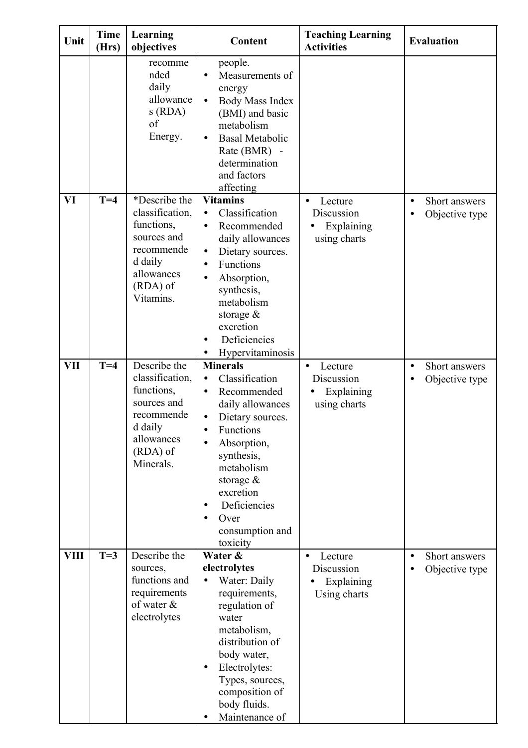| Unit        | <b>Time</b><br>(Hrs) | Learning<br>objectives                                                                                                         | Content                                                                                                                                                                                                                                                                                               | <b>Teaching Learning</b><br><b>Activities</b>                    | <b>Evaluation</b>                                         |
|-------------|----------------------|--------------------------------------------------------------------------------------------------------------------------------|-------------------------------------------------------------------------------------------------------------------------------------------------------------------------------------------------------------------------------------------------------------------------------------------------------|------------------------------------------------------------------|-----------------------------------------------------------|
|             |                      | recomme<br>nded<br>daily<br>allowance<br>s(RDA)<br>of<br>Energy.                                                               | people.<br>Measurements of<br>$\bullet$<br>energy<br>Body Mass Index<br>$\bullet$<br>(BMI) and basic<br>metabolism<br><b>Basal Metabolic</b><br>$\bullet$<br>Rate (BMR) -<br>determination<br>and factors<br>affecting                                                                                |                                                                  |                                                           |
| VI          | $T=4$                | *Describe the<br>classification,<br>functions,<br>sources and<br>recommende<br>d daily<br>allowances<br>(RDA) of<br>Vitamins.  | <b>Vitamins</b><br>Classification<br>$\bullet$<br>Recommended<br>$\bullet$<br>daily allowances<br>Dietary sources.<br>$\bullet$<br>Functions<br>$\bullet$<br>Absorption,<br>synthesis,<br>metabolism<br>storage $\&$<br>excretion<br>Deficiencies<br>Hypervitaminosis                                 | Lecture<br>Discussion<br>Explaining<br>using charts              | Short answers<br>$\bullet$<br>Objective type<br>$\bullet$ |
| <b>VII</b>  | $T=4$                | Describe the<br>classification,<br>functions,<br>sources and<br>recommende<br>d daily<br>allowances<br>$(RDA)$ of<br>Minerals. | <b>Minerals</b><br>Classification<br>$\bullet$<br>Recommended<br>daily allowances<br>Dietary sources.<br>$\bullet$<br>Functions<br>$\bullet$<br>Absorption,<br>$\bullet$<br>synthesis,<br>metabolism<br>storage $\&$<br>excretion<br>Deficiencies<br>$\bullet$<br>Over<br>consumption and<br>toxicity | Lecture<br>$\bullet$<br>Discussion<br>Explaining<br>using charts | Short answers<br>$\bullet$<br>Objective type<br>$\bullet$ |
| <b>VIII</b> | $T=3$                | Describe the<br>sources,<br>functions and<br>requirements<br>of water &<br>electrolytes                                        | Water &<br>electrolytes<br>Water: Daily<br>$\bullet$<br>requirements,<br>regulation of<br>water<br>metabolism,<br>distribution of<br>body water,<br>Electrolytes:<br>$\bullet$<br>Types, sources,<br>composition of<br>body fluids.<br>Maintenance of                                                 | Lecture<br>$\bullet$<br>Discussion<br>Explaining<br>Using charts | Short answers<br>$\bullet$<br>Objective type              |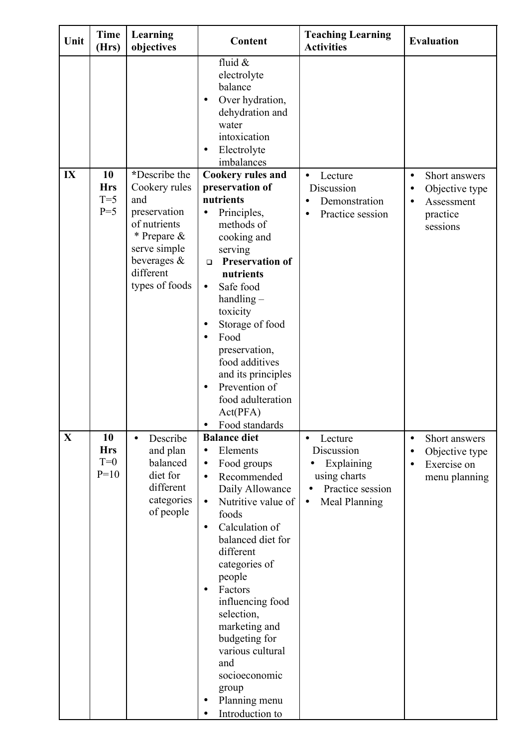| Unit        | <b>Time</b><br>(Hrs)                | Learning<br>objectives                                                                                                                                | Content                                                                                                                                                                                                                                                                                                                                                                                                                                              | <b>Teaching Learning</b><br><b>Activities</b>                                                                      | <b>Evaluation</b>                                                                                            |
|-------------|-------------------------------------|-------------------------------------------------------------------------------------------------------------------------------------------------------|------------------------------------------------------------------------------------------------------------------------------------------------------------------------------------------------------------------------------------------------------------------------------------------------------------------------------------------------------------------------------------------------------------------------------------------------------|--------------------------------------------------------------------------------------------------------------------|--------------------------------------------------------------------------------------------------------------|
|             |                                     |                                                                                                                                                       | fluid &<br>electrolyte<br>balance<br>Over hydration,<br>$\bullet$<br>dehydration and<br>water<br>intoxication<br>Electrolyte<br>$\bullet$<br>imbalances                                                                                                                                                                                                                                                                                              |                                                                                                                    |                                                                                                              |
| IX          | 10<br><b>Hrs</b><br>$T=5$<br>$P=5$  | *Describe the<br>Cookery rules<br>and<br>preservation<br>of nutrients<br>* Prepare &<br>serve simple<br>beverages $\&$<br>different<br>types of foods | <b>Cookery rules and</b><br>preservation of<br>nutrients<br>Principles,<br>$\bullet$<br>methods of<br>cooking and<br>serving<br><b>Preservation of</b><br>$\Box$<br>nutrients<br>Safe food<br>$\bullet$<br>$handling -$<br>toxicity<br>Storage of food<br>$\bullet$<br>Food<br>$\bullet$<br>preservation,<br>food additives<br>and its principles<br>Prevention of<br>$\bullet$<br>food adulteration<br>Act(PFA)<br>Food standards                   | Lecture<br>$\bullet$<br>Discussion<br>Demonstration<br>Practice session                                            | Short answers<br>$\bullet$<br>Objective type<br>$\bullet$<br>Assessment<br>$\bullet$<br>practice<br>sessions |
| $\mathbf X$ | 10<br><b>Hrs</b><br>$T=0$<br>$P=10$ | Describe<br>$\bullet$<br>and plan<br>balanced<br>diet for<br>different<br>categories<br>of people                                                     | <b>Balance diet</b><br>Elements<br>$\bullet$<br>Food groups<br>$\bullet$<br>Recommended<br>$\bullet$<br>Daily Allowance<br>Nutritive value of<br>$\bullet$<br>foods<br>Calculation of<br>$\bullet$<br>balanced diet for<br>different<br>categories of<br>people<br>Factors<br>$\bullet$<br>influencing food<br>selection,<br>marketing and<br>budgeting for<br>various cultural<br>and<br>socioeconomic<br>group<br>Planning menu<br>Introduction to | Lecture<br>$\bullet$<br>Discussion<br>Explaining<br>using charts<br>Practice session<br>Meal Planning<br>$\bullet$ | Short answers<br>$\bullet$<br>Objective type<br>Exercise on<br>$\bullet$<br>menu planning                    |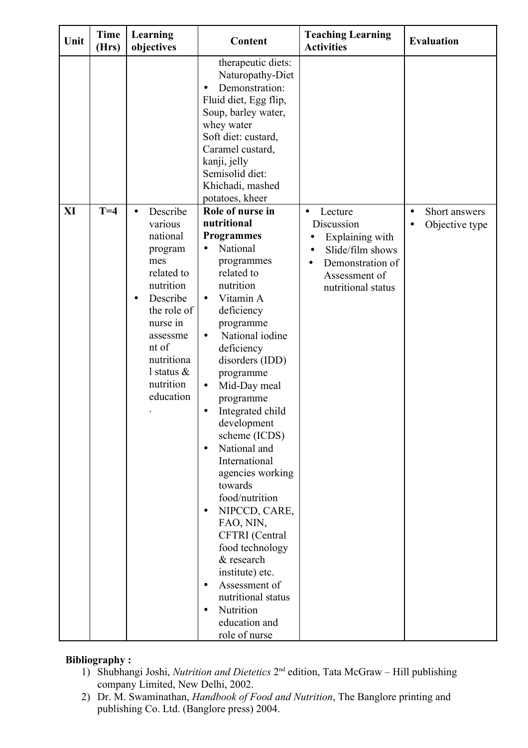| Unit | <b>Time</b><br>(Hrs) | Learning<br>objectives                                                                                                                                                                                                      | Content                                                                                                                                                                                                                                                                                                                                                                                                                                                                                                                                                                                                                                                                                 | <b>Teaching Learning</b><br><b>Activities</b>                                                                                                                  | <b>Evaluation</b>                                         |
|------|----------------------|-----------------------------------------------------------------------------------------------------------------------------------------------------------------------------------------------------------------------------|-----------------------------------------------------------------------------------------------------------------------------------------------------------------------------------------------------------------------------------------------------------------------------------------------------------------------------------------------------------------------------------------------------------------------------------------------------------------------------------------------------------------------------------------------------------------------------------------------------------------------------------------------------------------------------------------|----------------------------------------------------------------------------------------------------------------------------------------------------------------|-----------------------------------------------------------|
|      |                      |                                                                                                                                                                                                                             | therapeutic diets:<br>Naturopathy-Diet<br>Demonstration:<br>Fluid diet, Egg flip,<br>Soup, barley water,<br>whey water<br>Soft diet: custard,<br>Caramel custard,<br>kanji, jelly<br>Semisolid diet:<br>Khichadi, mashed<br>potatoes, kheer                                                                                                                                                                                                                                                                                                                                                                                                                                             |                                                                                                                                                                |                                                           |
| XI   | $T=4$                | Describe<br>$\bullet$<br>various<br>national<br>program<br>mes<br>related to<br>nutrition<br>Describe<br>$\bullet$<br>the role of<br>nurse in<br>assessme<br>nt of<br>nutritiona<br>l status $\&$<br>nutrition<br>education | Role of nurse in<br>nutritional<br><b>Programmes</b><br>National<br>$\bullet$<br>programmes<br>related to<br>nutrition<br>Vitamin A<br>$\bullet$<br>deficiency<br>programme<br>National iodine<br>$\bullet$<br>deficiency<br>disorders (IDD)<br>programme<br>Mid-Day meal<br>$\bullet$<br>programme<br>Integrated child<br>development<br>scheme (ICDS)<br>National and<br>$\bullet$<br>International<br>agencies working<br>towards<br>food/nutrition<br>NIPCCD, CARE,<br>$\bullet$<br>FAO, NIN,<br>CFTRI (Central<br>food technology<br>& research<br>institute) etc.<br>Assessment of<br>$\bullet$<br>nutritional status<br>Nutrition<br>$\bullet$<br>education and<br>role of nurse | Lecture<br>$\bullet$<br>Discussion<br>Explaining with<br>$\bullet$<br>Slide/film shows<br>$\bullet$<br>Demonstration of<br>Assessment of<br>nutritional status | Short answers<br>$\bullet$<br>Objective type<br>$\bullet$ |

# **Bibliography :**

- 1) Shubhangi Joshi, *Nutrition and Dietetics* 2<sup>nd</sup> edition, Tata McGraw Hill publishing company Limited, New Delhi, 2002.
- 2) Dr. M. Swaminathan, *Handbook of Food and Nutrition*, The Banglore printing and publishing Co. Ltd. (Banglore press) 2004.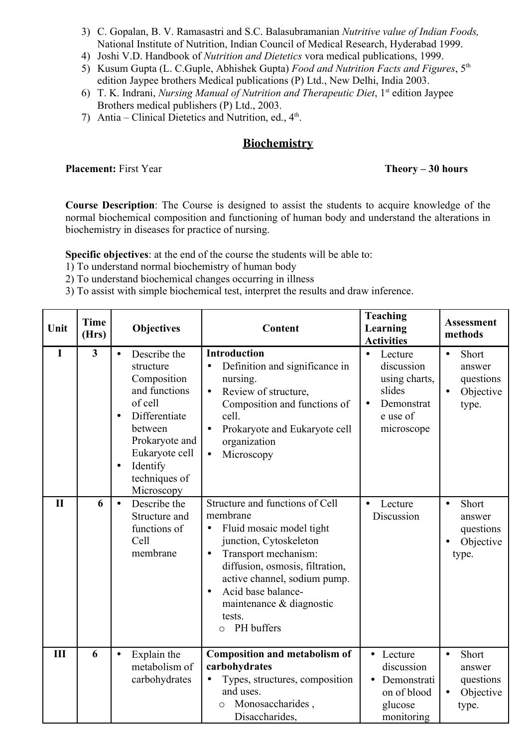- 3) C. Gopalan, B. V. Ramasastri and S.C. Balasubramanian *Nutritive value of Indian Foods,* National Institute of Nutrition, Indian Council of Medical Research, Hyderabad 1999.
- 4) Joshi V.D. Handbook of *Nutrition and Dietetics* vora medical publications, 1999.
- 5) Kusum Gupta (L. C.Guple, Abhishek Gupta) *Food and Nutrition Facts and Figures*, 5th edition Jaypee brothers Medical publications (P) Ltd., New Delhi, India 2003.
- 6) T. K. Indrani, *Nursing Manual of Nutrition and Therapeutic Diet*, 1<sup>st</sup> edition Jaypee Brothers medical publishers (P) Ltd., 2003.
- 7) Antia Clinical Dietetics and Nutrition, ed.,  $4<sup>th</sup>$ .

# **Biochemistry**

**Placement:** First Year **Theory – 30 hours** 

**Course Description**: The Course is designed to assist the students to acquire knowledge of the normal biochemical composition and functioning of human body and understand the alterations in biochemistry in diseases for practice of nursing.

**Specific objectives**: at the end of the course the students will be able to:

- 1) To understand normal biochemistry of human body
- 2) To understand biochemical changes occurring in illness
- 3) To assist with simple biochemical test, interpret the results and draw inference.

| Unit         | <b>Time</b><br>(Hrs)    | <b>Objectives</b>                                                                                                                                                                                                      | Content                                                                                                                                                                                                                                                                                                     | <b>Teaching</b><br>Learning<br><b>Activities</b>                                                                   | <b>Assessment</b><br>methods                                                 |
|--------------|-------------------------|------------------------------------------------------------------------------------------------------------------------------------------------------------------------------------------------------------------------|-------------------------------------------------------------------------------------------------------------------------------------------------------------------------------------------------------------------------------------------------------------------------------------------------------------|--------------------------------------------------------------------------------------------------------------------|------------------------------------------------------------------------------|
| I            | $\overline{\mathbf{3}}$ | Describe the<br>$\bullet$<br>structure<br>Composition<br>and functions<br>of cell<br>Differentiate<br>$\bullet$<br>between<br>Prokaryote and<br>Eukaryote cell<br>Identify<br>$\bullet$<br>techniques of<br>Microscopy | <b>Introduction</b><br>Definition and significance in<br>$\bullet$<br>nursing.<br>Review of structure,<br>$\bullet$<br>Composition and functions of<br>cell.<br>Prokaryote and Eukaryote cell<br>$\bullet$<br>organization<br>Microscopy<br>$\bullet$                                                       | Lecture<br>$\bullet$<br>discussion<br>using charts,<br>slides<br>Demonstrat<br>$\bullet$<br>e use of<br>microscope | Short<br>$\bullet$<br>answer<br>questions<br>Objective<br>$\bullet$<br>type. |
| $\mathbf{I}$ | 6                       | Describe the<br>$\bullet$<br>Structure and<br>functions of<br>Cell<br>membrane                                                                                                                                         | Structure and functions of Cell<br>membrane<br>Fluid mosaic model tight<br>$\bullet$<br>junction, Cytoskeleton<br>Transport mechanism:<br>$\bullet$<br>diffusion, osmosis, filtration,<br>active channel, sodium pump.<br>Acid base balance-<br>maintenance & diagnostic<br>tests.<br>PH buffers<br>$\circ$ | Lecture<br>$\bullet$<br>Discussion                                                                                 | Short<br>$\bullet$<br>answer<br>questions<br>Objective<br>type.              |
| Ш            | 6                       | Explain the<br>$\bullet$<br>metabolism of<br>carbohydrates                                                                                                                                                             | <b>Composition and metabolism of</b><br>carbohydrates<br>Types, structures, composition<br>and uses.<br>Monosaccharides,<br>$\circ$<br>Disaccharides,                                                                                                                                                       | • Lecture<br>discussion<br>Demonstrati<br>on of blood<br>glucose<br>monitoring                                     | Short<br>$\bullet$<br>answer<br>questions<br>Objective<br>$\bullet$<br>type. |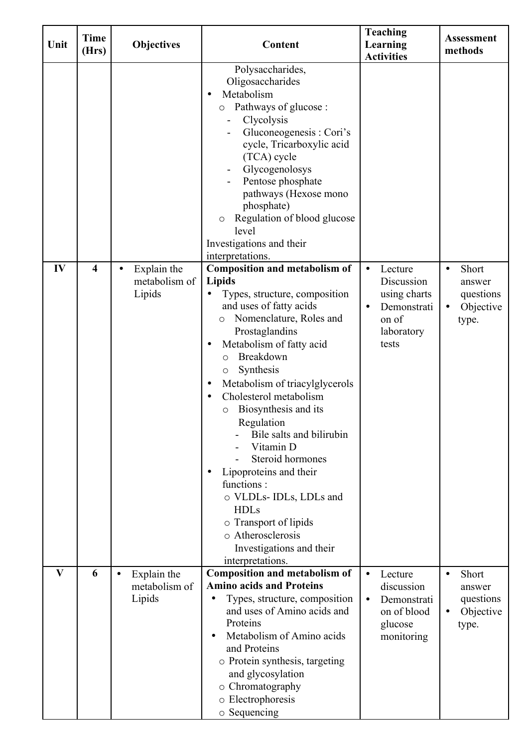| Unit | <b>Time</b><br>(Hrs) | <b>Objectives</b>                                   | Content                                                                                                                                                                                                                                                                                                                                                                                                                                                                                                                                                                                                              | <b>Teaching</b><br>Learning<br><b>Activities</b>                                                               | <b>Assessment</b><br>methods                                                 |
|------|----------------------|-----------------------------------------------------|----------------------------------------------------------------------------------------------------------------------------------------------------------------------------------------------------------------------------------------------------------------------------------------------------------------------------------------------------------------------------------------------------------------------------------------------------------------------------------------------------------------------------------------------------------------------------------------------------------------------|----------------------------------------------------------------------------------------------------------------|------------------------------------------------------------------------------|
|      |                      |                                                     | Polysaccharides,<br>Oligosaccharides<br>Metabolism<br>Pathways of glucose :<br>O<br>Clycolysis<br>Gluconeogenesis: Cori's<br>cycle, Tricarboxylic acid<br>(TCA) cycle<br>Glycogenolosys<br>Pentose phosphate<br>pathways (Hexose mono<br>phosphate)<br>Regulation of blood glucose<br>O<br>level<br>Investigations and their<br>interpretations.                                                                                                                                                                                                                                                                     |                                                                                                                |                                                                              |
| IV   | 4                    | Explain the<br>$\bullet$<br>metabolism of<br>Lipids | <b>Composition and metabolism of</b><br><b>Lipids</b><br>Types, structure, composition<br>and uses of fatty acids<br>Nomenclature, Roles and<br>$\circ$<br>Prostaglandins<br>Metabolism of fatty acid<br>Breakdown<br>$\circ$<br>Synthesis<br>Metabolism of triacylglycerols<br>٠<br>Cholesterol metabolism<br>٠<br>Biosynthesis and its<br>O<br>Regulation<br>Bile salts and bilirubin<br>Vitamin D<br>Steroid hormones<br>Lipoproteins and their<br>$\bullet$<br>functions:<br>o VLDLs-IDLs, LDLs and<br><b>HDLs</b><br>o Transport of lipids<br>o Atherosclerosis<br>Investigations and their<br>interpretations. | Lecture<br>$\bullet$<br>Discussion<br>using charts<br>Demonstrati<br>$\bullet$<br>on of<br>laboratory<br>tests | Short<br>$\bullet$<br>answer<br>questions<br>Objective<br>type.              |
| V    | 6                    | Explain the<br>$\bullet$<br>metabolism of<br>Lipids | <b>Composition and metabolism of</b><br><b>Amino acids and Proteins</b><br>Types, structure, composition<br>and uses of Amino acids and<br>Proteins<br>Metabolism of Amino acids<br>and Proteins<br>o Protein synthesis, targeting<br>and glycosylation<br>o Chromatography<br>o Electrophoresis<br>o Sequencing                                                                                                                                                                                                                                                                                                     | Lecture<br>$\bullet$<br>discussion<br>Demonstrati<br>$\bullet$<br>on of blood<br>glucose<br>monitoring         | Short<br>$\bullet$<br>answer<br>questions<br>Objective<br>$\bullet$<br>type. |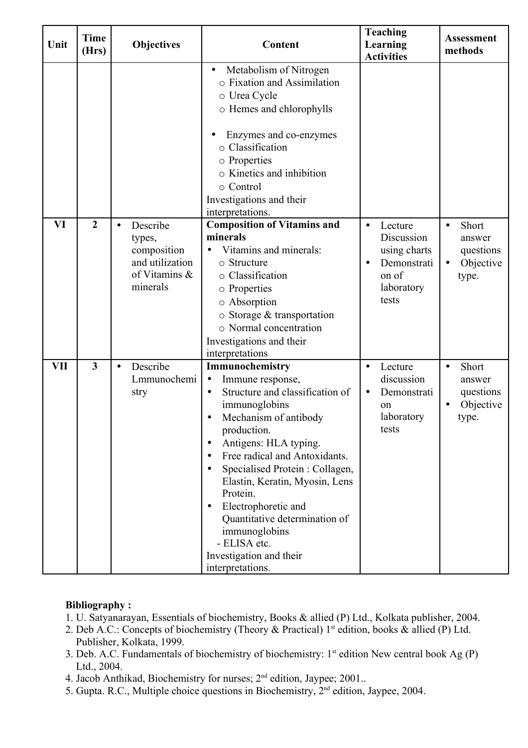| Unit       | <b>Time</b><br>(Hrs) |           | <b>Objectives</b>                                                                 | Content                                                                                                                                                                                                                                                                                                                                                                                                                                                                                                      | <b>Teaching</b><br>Learning<br><b>Activities</b>                                                               | <b>Assessment</b><br>methods                                                 |
|------------|----------------------|-----------|-----------------------------------------------------------------------------------|--------------------------------------------------------------------------------------------------------------------------------------------------------------------------------------------------------------------------------------------------------------------------------------------------------------------------------------------------------------------------------------------------------------------------------------------------------------------------------------------------------------|----------------------------------------------------------------------------------------------------------------|------------------------------------------------------------------------------|
|            |                      |           |                                                                                   | Metabolism of Nitrogen<br>$\bullet$<br>o Fixation and Assimilation<br>o Urea Cycle<br>o Hemes and chlorophylls<br>Enzymes and co-enzymes<br>o Classification<br>o Properties<br>o Kinetics and inhibition<br>o Control<br>Investigations and their<br>interpretations.                                                                                                                                                                                                                                       |                                                                                                                |                                                                              |
| VI         | $\overline{2}$       | $\bullet$ | Describe<br>types,<br>composition<br>and utilization<br>of Vitamins &<br>minerals | <b>Composition of Vitamins and</b><br>minerals<br>Vitamins and minerals:<br>o Structure<br>o Classification<br>o Properties<br>o Absorption<br>$\circ$ Storage & transportation<br>o Normal concentration<br>Investigations and their<br>interpretations                                                                                                                                                                                                                                                     | Lecture<br>$\bullet$<br>Discussion<br>using charts<br>Demonstrati<br>$\bullet$<br>on of<br>laboratory<br>tests | Short<br>$\bullet$<br>answer<br>questions<br>Objective<br>$\bullet$<br>type. |
| <b>VII</b> | $\mathbf{3}$         | $\bullet$ | Describe<br>Lmmunochemi<br>stry                                                   | Immunochemistry<br>Immune response,<br>$\bullet$<br>Structure and classification of<br>$\bullet$<br>immunoglobins<br>Mechanism of antibody<br>$\bullet$<br>production.<br>Antigens: HLA typing.<br>$\bullet$<br>Free radical and Antoxidants.<br>$\bullet$<br>Specialised Protein: Collagen,<br>$\bullet$<br>Elastin, Keratin, Myosin, Lens<br>Protein.<br>Electrophoretic and<br>$\bullet$<br>Quantitative determination of<br>immunoglobins<br>- ELISA etc.<br>Investigation and their<br>interpretations. | Lecture<br>$\bullet$<br>discussion<br>Demonstrati<br>$\bullet$<br>on<br>laboratory<br>tests                    | Short<br>$\bullet$<br>answer<br>questions<br>Objective<br>$\bullet$<br>type. |

### **Bibliography :**

- 1. U. Satyanarayan, Essentials of biochemistry, Books & allied (P) Ltd., Kolkata publisher, 2004.
- 2. Deb A.C.: Concepts of biochemistry (Theory & Practical) 1<sup>st</sup> edition, books & allied (P) Ltd. Publisher, Kolkata, 1999.
- 3. Deb. A.C. Fundamentals of biochemistry of biochemistry:  $1<sup>st</sup>$  edition New central book Ag (P) Ltd., 2004.
- 4. Jacob Anthikad, Biochemistry for nurses; 2<sup>nd</sup> edition, Jaypee; 2001..
- 5. Gupta. R.C., Multiple choice questions in Biochemistry, 2<sup>nd</sup> edition, Jaypee, 2004.